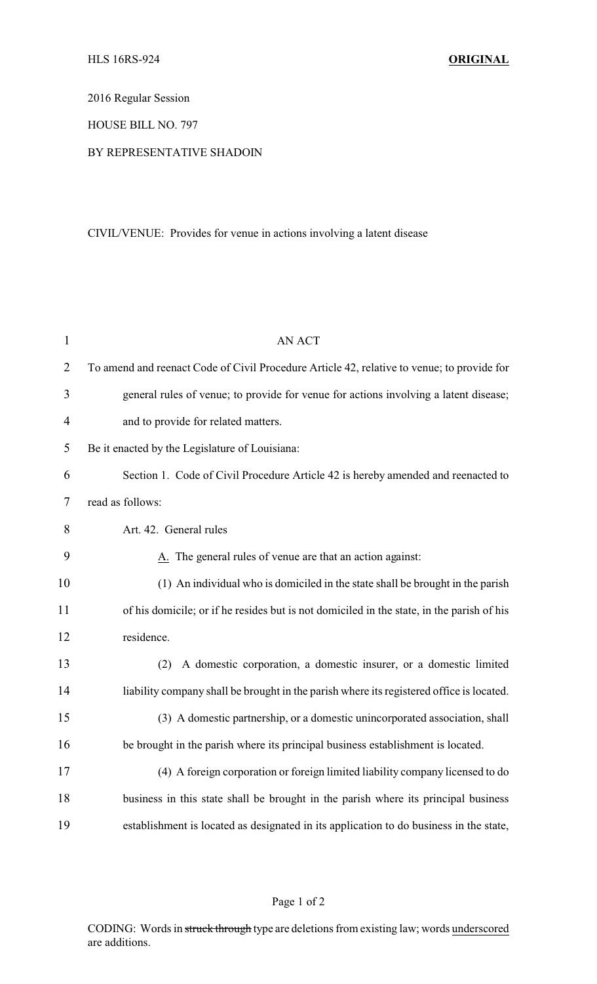2016 Regular Session

HOUSE BILL NO. 797

## BY REPRESENTATIVE SHADOIN

## CIVIL/VENUE: Provides for venue in actions involving a latent disease

| $\mathbf{1}$   | <b>AN ACT</b>                                                                              |
|----------------|--------------------------------------------------------------------------------------------|
| $\overline{2}$ | To amend and reenact Code of Civil Procedure Article 42, relative to venue; to provide for |
| 3              | general rules of venue; to provide for venue for actions involving a latent disease;       |
| $\overline{4}$ | and to provide for related matters.                                                        |
| 5              | Be it enacted by the Legislature of Louisiana:                                             |
| 6              | Section 1. Code of Civil Procedure Article 42 is hereby amended and reenacted to           |
| 7              | read as follows:                                                                           |
| 8              | Art. 42. General rules                                                                     |
| 9              | A. The general rules of venue are that an action against:                                  |
| 10             | (1) An individual who is domiciled in the state shall be brought in the parish             |
| 11             | of his domicile; or if he resides but is not domiciled in the state, in the parish of his  |
| 12             | residence.                                                                                 |
| 13             | A domestic corporation, a domestic insurer, or a domestic limited<br>(2)                   |
| 14             | liability company shall be brought in the parish where its registered office is located.   |
| 15             | (3) A domestic partnership, or a domestic unincorporated association, shall                |
| 16             | be brought in the parish where its principal business establishment is located.            |
| 17             | (4) A foreign corporation or foreign limited liability company licensed to do              |
| 18             | business in this state shall be brought in the parish where its principal business         |
| 19             | establishment is located as designated in its application to do business in the state,     |